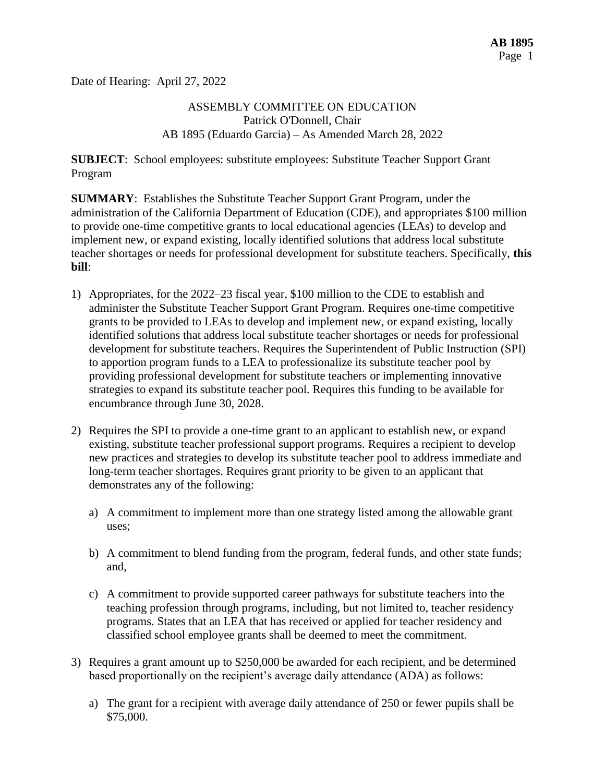Date of Hearing: April 27, 2022

# ASSEMBLY COMMITTEE ON EDUCATION Patrick O'Donnell, Chair AB 1895 (Eduardo Garcia) – As Amended March 28, 2022

**SUBJECT**: School employees: substitute employees: Substitute Teacher Support Grant Program

**SUMMARY**: Establishes the Substitute Teacher Support Grant Program, under the administration of the California Department of Education (CDE), and appropriates \$100 million to provide one-time competitive grants to local educational agencies (LEAs) to develop and implement new, or expand existing, locally identified solutions that address local substitute teacher shortages or needs for professional development for substitute teachers. Specifically, **this bill**:

- 1) Appropriates, for the 2022–23 fiscal year, \$100 million to the CDE to establish and administer the Substitute Teacher Support Grant Program. Requires one-time competitive grants to be provided to LEAs to develop and implement new, or expand existing, locally identified solutions that address local substitute teacher shortages or needs for professional development for substitute teachers. Requires the Superintendent of Public Instruction (SPI) to apportion program funds to a LEA to professionalize its substitute teacher pool by providing professional development for substitute teachers or implementing innovative strategies to expand its substitute teacher pool. Requires this funding to be available for encumbrance through June 30, 2028.
- 2) Requires the SPI to provide a one-time grant to an applicant to establish new, or expand existing, substitute teacher professional support programs. Requires a recipient to develop new practices and strategies to develop its substitute teacher pool to address immediate and long-term teacher shortages. Requires grant priority to be given to an applicant that demonstrates any of the following:
	- a) A commitment to implement more than one strategy listed among the allowable grant uses;
	- b) A commitment to blend funding from the program, federal funds, and other state funds; and,
	- c) A commitment to provide supported career pathways for substitute teachers into the teaching profession through programs, including, but not limited to, teacher residency programs. States that an LEA that has received or applied for teacher residency and classified school employee grants shall be deemed to meet the commitment.
- 3) Requires a grant amount up to \$250,000 be awarded for each recipient, and be determined based proportionally on the recipient's average daily attendance (ADA) as follows:
	- a) The grant for a recipient with average daily attendance of 250 or fewer pupils shall be \$75,000.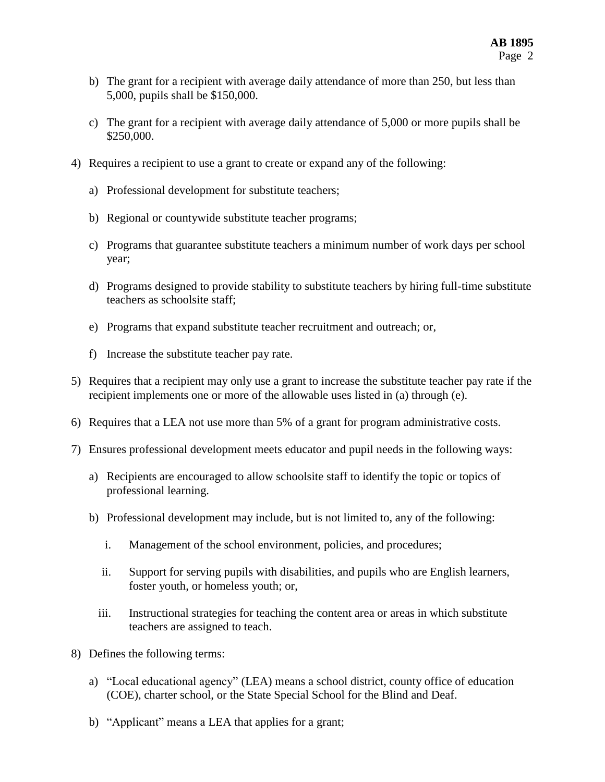- b) The grant for a recipient with average daily attendance of more than 250, but less than 5,000, pupils shall be \$150,000.
- c) The grant for a recipient with average daily attendance of 5,000 or more pupils shall be \$250,000.
- 4) Requires a recipient to use a grant to create or expand any of the following:
	- a) Professional development for substitute teachers;
	- b) Regional or countywide substitute teacher programs;
	- c) Programs that guarantee substitute teachers a minimum number of work days per school year;
	- d) Programs designed to provide stability to substitute teachers by hiring full-time substitute teachers as schoolsite staff;
	- e) Programs that expand substitute teacher recruitment and outreach; or,
	- f) Increase the substitute teacher pay rate.
- 5) Requires that a recipient may only use a grant to increase the substitute teacher pay rate if the recipient implements one or more of the allowable uses listed in (a) through (e).
- 6) Requires that a LEA not use more than 5% of a grant for program administrative costs.
- 7) Ensures professional development meets educator and pupil needs in the following ways:
	- a) Recipients are encouraged to allow schoolsite staff to identify the topic or topics of professional learning.
	- b) Professional development may include, but is not limited to, any of the following:
		- i. Management of the school environment, policies, and procedures;
		- ii. Support for serving pupils with disabilities, and pupils who are English learners, foster youth, or homeless youth; or,
		- iii. Instructional strategies for teaching the content area or areas in which substitute teachers are assigned to teach.
- 8) Defines the following terms:
	- a) "Local educational agency" (LEA) means a school district, county office of education (COE), charter school, or the State Special School for the Blind and Deaf.
	- b) "Applicant" means a LEA that applies for a grant;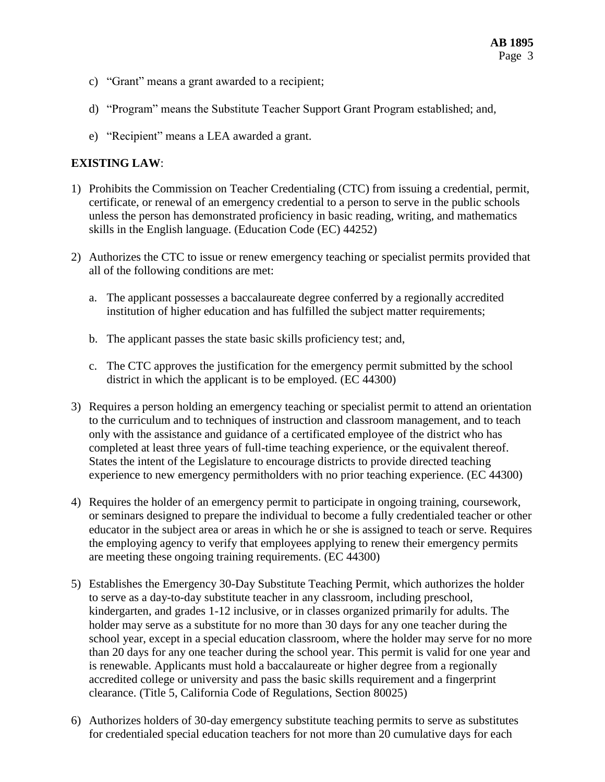- c) "Grant" means a grant awarded to a recipient;
- d) "Program" means the Substitute Teacher Support Grant Program established; and,
- e) "Recipient" means a LEA awarded a grant.

# **EXISTING LAW**:

- 1) Prohibits the Commission on Teacher Credentialing (CTC) from issuing a credential, permit, certificate, or renewal of an emergency credential to a person to serve in the public schools unless the person has demonstrated proficiency in basic reading, writing, and mathematics skills in the English language. (Education Code (EC) 44252)
- 2) Authorizes the CTC to issue or renew emergency teaching or specialist permits provided that all of the following conditions are met:
	- a. The applicant possesses a baccalaureate degree conferred by a regionally accredited institution of higher education and has fulfilled the subject matter requirements;
	- b. The applicant passes the state basic skills proficiency test; and,
	- c. The CTC approves the justification for the emergency permit submitted by the school district in which the applicant is to be employed. (EC 44300)
- 3) Requires a person holding an emergency teaching or specialist permit to attend an orientation to the curriculum and to techniques of instruction and classroom management, and to teach only with the assistance and guidance of a certificated employee of the district who has completed at least three years of full-time teaching experience, or the equivalent thereof. States the intent of the Legislature to encourage districts to provide directed teaching experience to new emergency permitholders with no prior teaching experience. (EC 44300)
- 4) Requires the holder of an emergency permit to participate in ongoing training, coursework, or seminars designed to prepare the individual to become a fully credentialed teacher or other educator in the subject area or areas in which he or she is assigned to teach or serve. Requires the employing agency to verify that employees applying to renew their emergency permits are meeting these ongoing training requirements. (EC 44300)
- 5) Establishes the Emergency 30-Day Substitute Teaching Permit, which authorizes the holder to serve as a day-to-day substitute teacher in any classroom, including preschool, kindergarten, and grades 1-12 inclusive, or in classes organized primarily for adults. The holder may serve as a substitute for no more than 30 days for any one teacher during the school year, except in a special education classroom, where the holder may serve for no more than 20 days for any one teacher during the school year. This permit is valid for one year and is renewable. Applicants must hold a baccalaureate or higher degree from a regionally accredited college or university and pass the basic skills requirement and a fingerprint clearance. (Title 5, California Code of Regulations, Section 80025)
- 6) Authorizes holders of 30-day emergency substitute teaching permits to serve as substitutes for credentialed special education teachers for not more than 20 cumulative days for each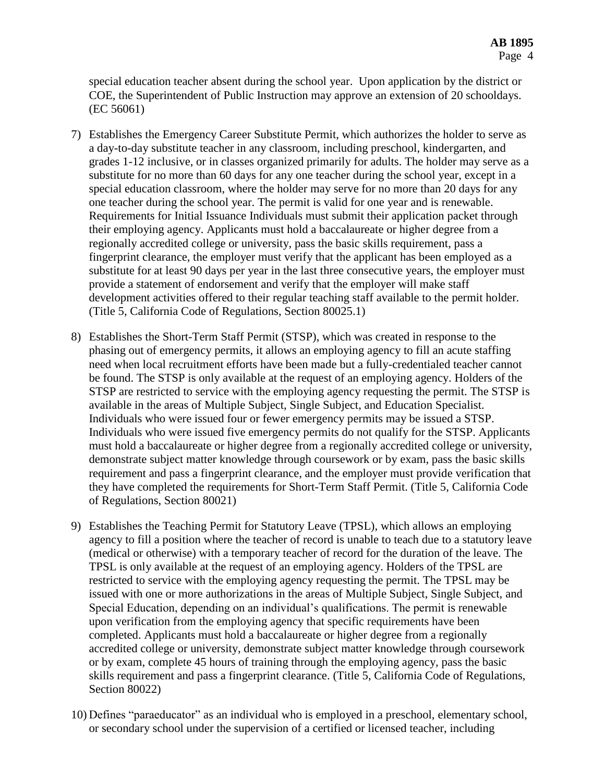special education teacher absent during the school year. Upon application by the district or COE, the Superintendent of Public Instruction may approve an extension of 20 schooldays. (EC 56061)

- 7) Establishes the Emergency Career Substitute Permit, which authorizes the holder to serve as a day-to-day substitute teacher in any classroom, including preschool, kindergarten, and grades 1-12 inclusive, or in classes organized primarily for adults. The holder may serve as a substitute for no more than 60 days for any one teacher during the school year, except in a special education classroom, where the holder may serve for no more than 20 days for any one teacher during the school year. The permit is valid for one year and is renewable. Requirements for Initial Issuance Individuals must submit their application packet through their employing agency. Applicants must hold a baccalaureate or higher degree from a regionally accredited college or university, pass the basic skills requirement, pass a fingerprint clearance, the employer must verify that the applicant has been employed as a substitute for at least 90 days per year in the last three consecutive years, the employer must provide a statement of endorsement and verify that the employer will make staff development activities offered to their regular teaching staff available to the permit holder. (Title 5, California Code of Regulations, Section 80025.1)
- 8) Establishes the Short-Term Staff Permit (STSP), which was created in response to the phasing out of emergency permits, it allows an employing agency to fill an acute staffing need when local recruitment efforts have been made but a fully-credentialed teacher cannot be found. The STSP is only available at the request of an employing agency. Holders of the STSP are restricted to service with the employing agency requesting the permit. The STSP is available in the areas of Multiple Subject, Single Subject, and Education Specialist. Individuals who were issued four or fewer emergency permits may be issued a STSP. Individuals who were issued five emergency permits do not qualify for the STSP. Applicants must hold a baccalaureate or higher degree from a regionally accredited college or university, demonstrate subject matter knowledge through coursework or by exam, pass the basic skills requirement and pass a fingerprint clearance, and the employer must provide verification that they have completed the requirements for Short-Term Staff Permit. (Title 5, California Code of Regulations, Section 80021)
- 9) Establishes the Teaching Permit for Statutory Leave (TPSL), which allows an employing agency to fill a position where the teacher of record is unable to teach due to a statutory leave (medical or otherwise) with a temporary teacher of record for the duration of the leave. The TPSL is only available at the request of an employing agency. Holders of the TPSL are restricted to service with the employing agency requesting the permit. The TPSL may be issued with one or more authorizations in the areas of Multiple Subject, Single Subject, and Special Education, depending on an individual's qualifications. The permit is renewable upon verification from the employing agency that specific requirements have been completed. Applicants must hold a baccalaureate or higher degree from a regionally accredited college or university, demonstrate subject matter knowledge through coursework or by exam, complete 45 hours of training through the employing agency, pass the basic skills requirement and pass a fingerprint clearance. (Title 5, California Code of Regulations, Section 80022)
- 10) Defines "paraeducator" as an individual who is employed in a preschool, elementary school, or secondary school under the supervision of a certified or licensed teacher, including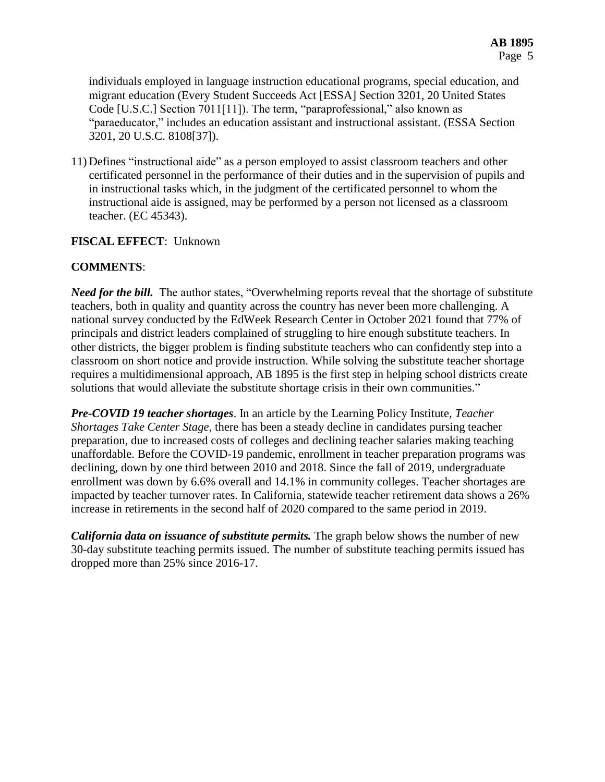individuals employed in language instruction educational programs, special education, and migrant education (Every Student Succeeds Act [ESSA] Section 3201, 20 United States Code [U.S.C.] Section 7011[11]). The term, "paraprofessional," also known as "paraeducator," includes an education assistant and instructional assistant. (ESSA Section 3201, 20 U.S.C. 8108[37]).

11) Defines "instructional aide" as a person employed to assist classroom teachers and other certificated personnel in the performance of their duties and in the supervision of pupils and in instructional tasks which, in the judgment of the certificated personnel to whom the instructional aide is assigned, may be performed by a person not licensed as a classroom teacher. (EC 45343).

### **FISCAL EFFECT**: Unknown

### **COMMENTS**:

*Need for the bill.* The author states, "Overwhelming reports reveal that the shortage of substitute teachers, both in quality and quantity across the country has never been more challenging. A national survey conducted by the EdWeek Research Center in October 2021 found that 77% of principals and district leaders complained of struggling to hire enough substitute teachers. In other districts, the bigger problem is finding substitute teachers who can confidently step into a classroom on short notice and provide instruction. While solving the substitute teacher shortage requires a multidimensional approach, AB 1895 is the first step in helping school districts create solutions that would alleviate the substitute shortage crisis in their own communities."

*Pre-COVID 19 teacher shortages*. In an article by the Learning Policy Institute, *Teacher Shortages Take Center Stage,* there has been a steady decline in candidates pursing teacher preparation, due to increased costs of colleges and declining teacher salaries making teaching unaffordable. Before the COVID-19 pandemic, enrollment in teacher preparation programs was declining, down by one third between 2010 and 2018. Since the fall of 2019, undergraduate enrollment was down by 6.6% overall and 14.1% in community colleges. Teacher shortages are impacted by teacher turnover rates. In California, statewide teacher retirement data shows a 26% increase in retirements in the second half of 2020 compared to the same period in 2019.

*California data on issuance of substitute permits.* The graph below shows the number of new 30-day substitute teaching permits issued. The number of substitute teaching permits issued has dropped more than 25% since 2016-17.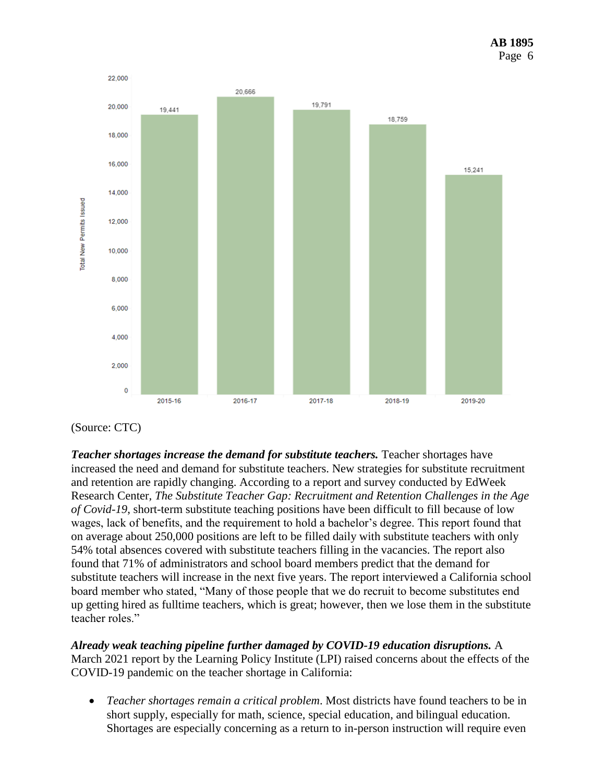

(Source: CTC)

*Teacher shortages increase the demand for substitute teachers.* Teacher shortages have increased the need and demand for substitute teachers. New strategies for substitute recruitment and retention are rapidly changing. According to a report and survey conducted by EdWeek Research Center*, The Substitute Teacher Gap: Recruitment and Retention Challenges in the Age of Covid-19*, short-term substitute teaching positions have been difficult to fill because of low wages, lack of benefits, and the requirement to hold a bachelor's degree. This report found that on average about 250,000 positions are left to be filled daily with substitute teachers with only 54% total absences covered with substitute teachers filling in the vacancies. The report also found that 71% of administrators and school board members predict that the demand for substitute teachers will increase in the next five years. The report interviewed a California school board member who stated, "Many of those people that we do recruit to become substitutes end up getting hired as fulltime teachers, which is great; however, then we lose them in the substitute teacher roles."

*Already weak teaching pipeline further damaged by COVID-19 education disruptions.* A March 2021 report by the Learning Policy Institute (LPI) raised concerns about the effects of the COVID-19 pandemic on the teacher shortage in California:

 *Teacher shortages remain a critical problem*. Most districts have found teachers to be in short supply, especially for math, science, special education, and bilingual education. Shortages are especially concerning as a return to in-person instruction will require even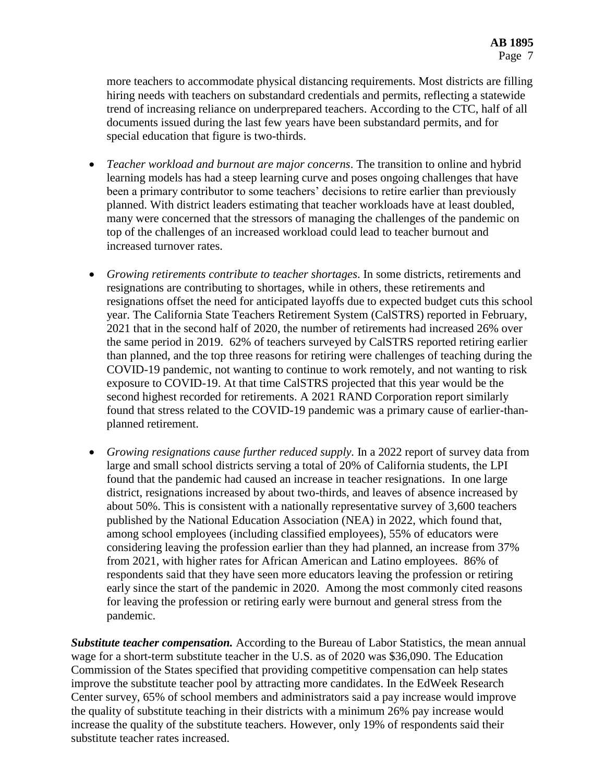more teachers to accommodate physical distancing requirements. Most districts are filling hiring needs with teachers on substandard credentials and permits, reflecting a statewide trend of increasing reliance on underprepared teachers. According to the CTC, half of all documents issued during the last few years have been substandard permits, and for special education that figure is two-thirds.

- *Teacher workload and burnout are major concerns*. The transition to online and hybrid learning models has had a steep learning curve and poses ongoing challenges that have been a primary contributor to some teachers' decisions to retire earlier than previously planned. With district leaders estimating that teacher workloads have at least doubled, many were concerned that the stressors of managing the challenges of the pandemic on top of the challenges of an increased workload could lead to teacher burnout and increased turnover rates.
- *Growing retirements contribute to teacher shortages*. In some districts, retirements and resignations are contributing to shortages, while in others, these retirements and resignations offset the need for anticipated layoffs due to expected budget cuts this school year. The California State Teachers Retirement System (CalSTRS) reported in February, 2021 that in the second half of 2020, the number of retirements had increased 26% over the same period in 2019. 62% of teachers surveyed by CalSTRS reported retiring earlier than planned, and the top three reasons for retiring were challenges of teaching during the COVID-19 pandemic, not wanting to continue to work remotely, and not wanting to risk exposure to COVID-19. At that time CalSTRS projected that this year would be the second highest recorded for retirements. A 2021 RAND Corporation report similarly found that stress related to the COVID-19 pandemic was a primary cause of earlier-thanplanned retirement.
- *Growing resignations cause further reduced supply.* In a 2022 report of survey data from large and small school districts serving a total of 20% of California students, the LPI found that the pandemic had caused an increase in teacher resignations. In one large district, resignations increased by about two-thirds, and leaves of absence increased by about 50%. This is consistent with a nationally representative survey of 3,600 teachers published by the National Education Association (NEA) in 2022, which found that, among school employees (including classified employees), 55% of educators were considering leaving the profession earlier than they had planned, an increase from 37% from 2021, with higher rates for African American and Latino employees. 86% of respondents said that they have seen more educators leaving the profession or retiring early since the start of the pandemic in 2020. Among the most commonly cited reasons for leaving the profession or retiring early were burnout and general stress from the pandemic.

*Substitute teacher compensation.* According to the Bureau of Labor Statistics, the mean annual wage for a short-term substitute teacher in the U.S. as of 2020 was \$36,090. The Education Commission of the States specified that providing competitive compensation can help states improve the substitute teacher pool by attracting more candidates. In the EdWeek Research Center survey, 65% of school members and administrators said a pay increase would improve the quality of substitute teaching in their districts with a minimum 26% pay increase would increase the quality of the substitute teachers. However, only 19% of respondents said their substitute teacher rates increased.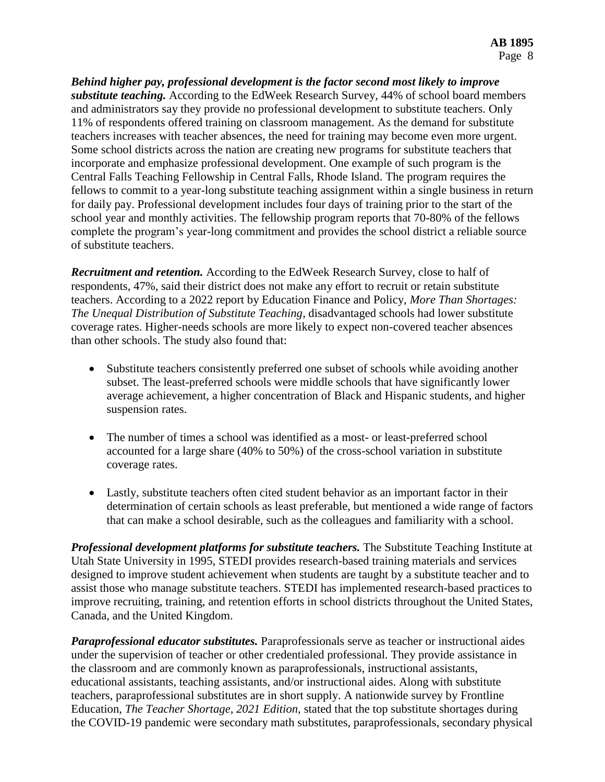*Behind higher pay, professional development is the factor second most likely to improve substitute teaching.* According to the EdWeek Research Survey, 44% of school board members and administrators say they provide no professional development to substitute teachers. Only 11% of respondents offered training on classroom management. As the demand for substitute teachers increases with teacher absences, the need for training may become even more urgent. Some school districts across the nation are creating new programs for substitute teachers that incorporate and emphasize professional development. One example of such program is the Central Falls Teaching Fellowship in Central Falls, Rhode Island. The program requires the fellows to commit to a year-long substitute teaching assignment within a single business in return for daily pay. Professional development includes four days of training prior to the start of the school year and monthly activities. The fellowship program reports that 70-80% of the fellows complete the program's year-long commitment and provides the school district a reliable source of substitute teachers.

*Recruitment and retention.* According to the EdWeek Research Survey, close to half of respondents, 47%, said their district does not make any effort to recruit or retain substitute teachers. According to a 2022 report by Education Finance and Policy, *More Than Shortages: The Unequal Distribution of Substitute Teaching,* disadvantaged schools had lower substitute coverage rates. Higher-needs schools are more likely to expect non-covered teacher absences than other schools. The study also found that:

- Substitute teachers consistently preferred one subset of schools while avoiding another subset. The least-preferred schools were middle schools that have significantly lower average achievement, a higher concentration of Black and Hispanic students, and higher suspension rates.
- The number of times a school was identified as a most- or least-preferred school accounted for a large share (40% to 50%) of the cross-school variation in substitute coverage rates.
- Lastly, substitute teachers often cited student behavior as an important factor in their determination of certain schools as least preferable, but mentioned a wide range of factors that can make a school desirable, such as the colleagues and familiarity with a school.

*Professional development platforms for substitute teachers.* The Substitute Teaching Institute at Utah State University in 1995, STEDI provides research-based training materials and services designed to improve student achievement when students are taught by a substitute teacher and to assist those who manage substitute teachers. STEDI has implemented research-based practices to improve recruiting, training, and retention efforts in school districts throughout the United States, Canada, and the United Kingdom.

*Paraprofessional educator substitutes.* Paraprofessionals serve as teacher or instructional aides under the supervision of teacher or other credentialed professional. They provide assistance in the classroom and are commonly known as paraprofessionals, instructional assistants, educational assistants, teaching assistants, and/or instructional aides. Along with substitute teachers, paraprofessional substitutes are in short supply. A nationwide survey by Frontline Education, *The Teacher Shortage, 2021 Edition,* stated that the top substitute shortages during the COVID-19 pandemic were secondary math substitutes, paraprofessionals, secondary physical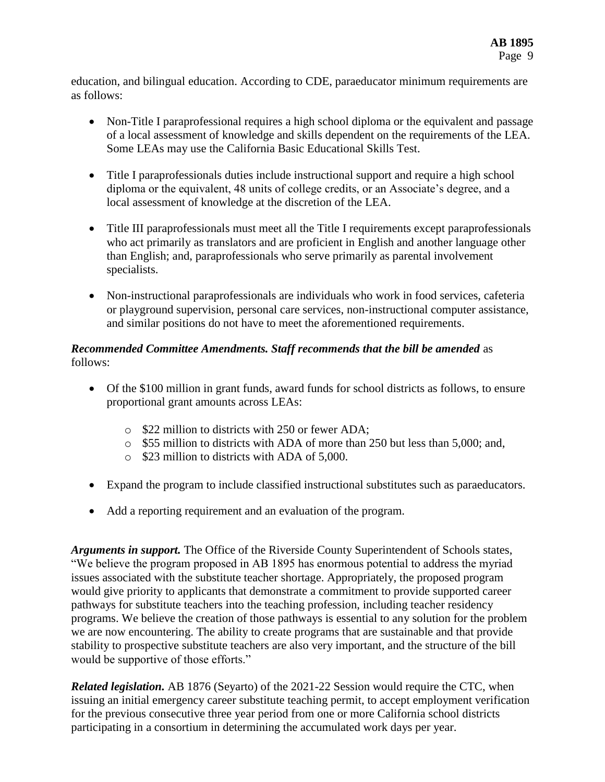education, and bilingual education. According to CDE, paraeducator minimum requirements are as follows:

- Non-Title I paraprofessional requires a high school diploma or the equivalent and passage of a local assessment of knowledge and skills dependent on the requirements of the LEA. Some LEAs may use the California Basic Educational Skills Test.
- Title I paraprofessionals duties include instructional support and require a high school diploma or the equivalent, 48 units of college credits, or an Associate's degree, and a local assessment of knowledge at the discretion of the LEA.
- Title III paraprofessionals must meet all the Title I requirements except paraprofessionals who act primarily as translators and are proficient in English and another language other than English; and, paraprofessionals who serve primarily as parental involvement specialists.
- Non-instructional paraprofessionals are individuals who work in food services, cafeteria or playground supervision, personal care services, non-instructional computer assistance, and similar positions do not have to meet the aforementioned requirements.

#### *Recommended Committee Amendments. Staff recommends that the bill be amended* as follows:

- Of the \$100 million in grant funds, award funds for school districts as follows, to ensure proportional grant amounts across LEAs:
	- o \$22 million to districts with 250 or fewer ADA;
	- o \$55 million to districts with ADA of more than 250 but less than 5,000; and,
	- o \$23 million to districts with ADA of 5,000.
- Expand the program to include classified instructional substitutes such as paraeducators.
- Add a reporting requirement and an evaluation of the program.

*Arguments in support.* The Office of the Riverside County Superintendent of Schools states, "We believe the program proposed in AB 1895 has enormous potential to address the myriad issues associated with the substitute teacher shortage. Appropriately, the proposed program would give priority to applicants that demonstrate a commitment to provide supported career pathways for substitute teachers into the teaching profession, including teacher residency programs. We believe the creation of those pathways is essential to any solution for the problem we are now encountering. The ability to create programs that are sustainable and that provide stability to prospective substitute teachers are also very important, and the structure of the bill would be supportive of those efforts."

*Related legislation.* AB 1876 (Seyarto) of the 2021-22 Session would require the CTC, when issuing an initial emergency career substitute teaching permit, to accept employment verification for the previous consecutive three year period from one or more California school districts participating in a consortium in determining the accumulated work days per year.